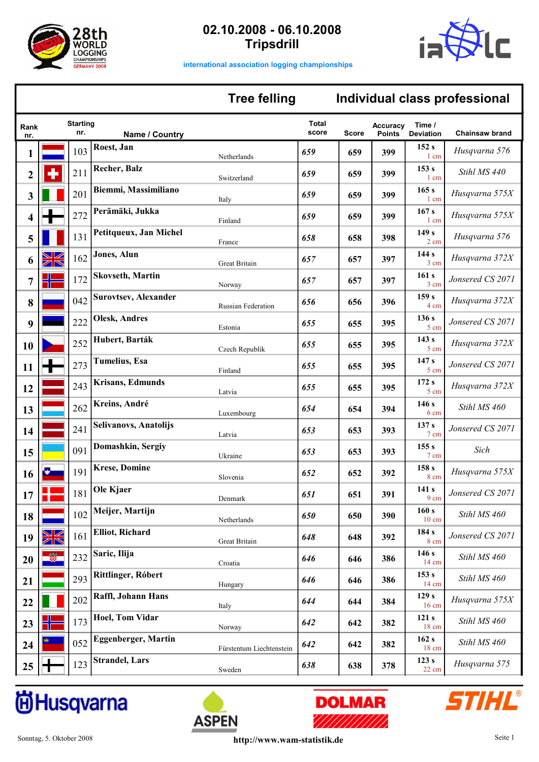



**international association logging championships**

### **Tree felling**

## **Individual class professional**

| Rank<br>nr.    |                   | <b>Starting</b><br>nr. | Name / Country              |                           | <b>Total</b><br>score | Score | <b>Accuracy</b><br><b>Points</b> | Time /<br><b>Deviation</b> | <b>Chainsaw brand</b> |
|----------------|-------------------|------------------------|-----------------------------|---------------------------|-----------------------|-------|----------------------------------|----------------------------|-----------------------|
| 1              |                   | 103                    | Roest, Jan                  | Netherlands               | 659                   | 659   | 399                              | 152s<br>1 cm               | Husqvarna 576         |
| $\overline{2}$ |                   | 211                    | <b>Recher, Balz</b>         | Switzerland               | 659                   | 659   | 399                              | 153s<br>1 cm               | Stihl MS 440          |
| 3              |                   | 201                    | Biemmi, Massimiliano        | Italy                     | 659                   | 659   | 399                              | 165s<br>$1 \text{ cm}$     | Husqvarna 575X        |
| 4              |                   | 272                    | Perämäki, Jukka             | Finland                   | 659                   | 659   | 399                              | 167s<br>$1 \text{ cm}$     | Husqvarna 575X        |
| 5              |                   | 131                    | Petitqueux, Jan Michel      | France                    | 658                   | 658   | 398                              | 149s<br>$2 \text{ cm}$     | Husqvarna 576         |
| 6              | $\boxtimes$<br>ZR | 162                    | Jones, Alun                 | Great Britain             | 657                   | 657   | 397                              | 144s<br>3 cm               | Husqvarna 372X        |
| 7              |                   | 172                    | <b>Skovseth, Martin</b>     | Norway                    | 657                   | 657   | 397                              | 161s<br>3 cm               | Jonsered CS 2071      |
| 8              |                   | 042                    | <b>Surovtsev, Alexander</b> | <b>Russian Federation</b> | 656                   | 656   | 396                              | 159 <sub>s</sub><br>4 cm   | Husqvarna 372X        |
| 9              |                   | 222                    | <b>Olesk, Andres</b>        | Estonia                   | 655                   | 655   | 395                              | 136s<br>5 cm               | Jonsered CS 2071      |
| 10             |                   | 252                    | Hubert, Barták              | Czech Republik            | 655                   | 655   | 395                              | 143s<br>5 cm               | Husqvarna 372X        |
| 11             |                   | 273                    | <b>Tumelius</b> , Esa       | Finland                   | 655                   | 655   | 395                              | 147 <sub>s</sub><br>5 cm   | Jonsered CS 2071      |
| 12             |                   | 243                    | <b>Krisans, Edmunds</b>     | Latvia                    | 655                   | 655   | 395                              | 172s<br>5 cm               | Husqvarna 372X        |
| 13             |                   | 262                    | Kreins, André               | Luxembourg                | 654                   | 654   | 394                              | 146s<br>6 cm               | Stihl MS 460          |
| 14             |                   | 241                    | Selivanovs, Anatolijs       | Latvia                    | 653                   | 653   | 393                              | 137 <sub>s</sub><br>7 cm   | Jonsered CS 2071      |
| 15             |                   | 091                    | Domashkin, Sergiy           | Ukraine                   | 653                   | 653   | 393                              | 155s<br>7 cm               | Sich                  |
| 16             |                   | 191                    | <b>Krese, Domine</b>        | Slovenia                  | 652                   | 652   | 392                              | 158 <sub>s</sub><br>8 cm   | Husqvarna 575X        |
| 17             |                   | 181                    | Ole Kjaer                   | Denmark                   | 651                   | 651   | 391                              | 141 s<br>9 cm              | Jonsered CS 2071      |
| 18             |                   | 102                    | Meijer, Martijn             | Netherlands               | 650                   | 650   | 390                              | 160 s<br>$10 \text{ cm}$   | Stihl MS 460          |
| 19             | XK                | 161                    | <b>Elliot, Richard</b>      | Great Britain             | 648                   | 648   | 392                              | 184 s<br>8 cm              | Jonsered CS 2071      |
| 20             | $\frac{cos}{cos}$ | 232                    | Saric, Ilija                | Croatia                   | 646                   | 646   | 386                              | 146s<br>$14 \text{ cm}$    | Stihl MS 460          |
| 21             |                   | 293                    | Rittlinger, Róbert          | Hungary                   | 646                   | 646   | 386                              | 153 s<br>$14 \text{ cm}$   | Stihl MS 460          |
| 22             |                   | 202                    | Raffl, Johann Hans          | Italy                     | 644                   | 644   | 384                              | 129s<br>$16 \text{ cm}$    | Husqvarna 575X        |
| 23             |                   | 173                    | <b>Hoel, Tom Vidar</b>      | Norway                    | 642                   | 642   | 382                              | 121 s<br>18 cm             | Stihl MS 460          |
| 24             |                   | 052                    | <b>Eggenberger, Martin</b>  | Fürstentum Liechtenstein  | 642                   | 642   | 382                              | 162 s<br>18 cm             | Stihl MS 460          |
| 25             | П                 | 123                    | <b>Strandel</b> , Lars      | Sweden                    | 638                   | 638   | 378                              | 123s<br>22 cm              | Husqvarna 575         |

# **idHusqvarna**





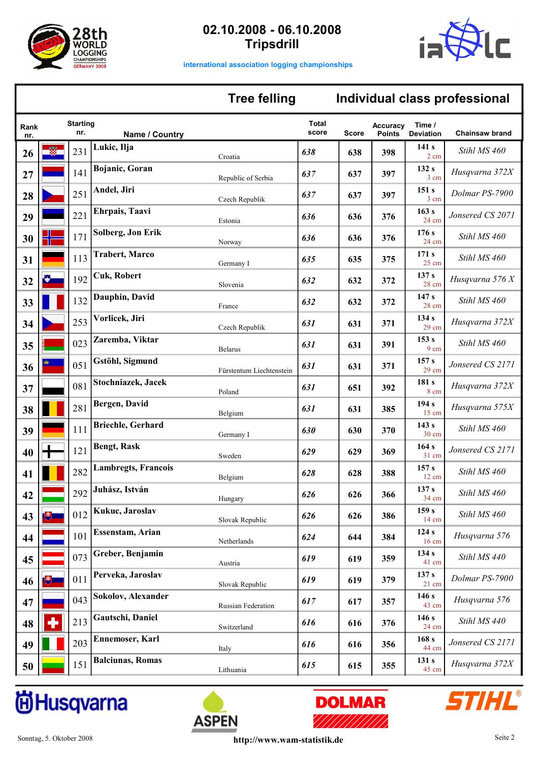



**international association logging championships**

### **Tree felling**

|             |    |                        |                            | <b>Tree felling</b>      |                |              |                                  |                                     | Individual class professional |
|-------------|----|------------------------|----------------------------|--------------------------|----------------|--------------|----------------------------------|-------------------------------------|-------------------------------|
| Rank<br>nr. |    | <b>Starting</b><br>nr. | Name / Country             |                          | Total<br>score | <b>Score</b> | <b>Accuracy</b><br><b>Points</b> | Time /<br><b>Deviation</b>          | <b>Chainsaw brand</b>         |
| 26          |    | 231                    | Lukic, Ilja                | Croatia                  | 638            | 638          | 398                              | 141 s<br>2 cm                       | Stihl MS 460                  |
| 27          |    | 141                    | Bojanic, Goran             | Republic of Serbia       | 637            | 637          | 397                              | 132 s<br>3 cm                       | Husqvarna 372X                |
| 28          |    | 251                    | Andel, Jiri                | Czech Republik           | 637            | 637          | 397                              | 151 s<br>3 cm                       | Dolmar PS-7900                |
| 29          |    | 221                    | Ehrpais, Taavi             | Estonia                  | 636            | 636          | 376                              | 163 s<br>24 cm                      | Jonsered CS 2071              |
| 30          |    | 171                    | Solberg, Jon Erik          | Norway                   | 636            | 636          | 376                              | 176 s<br>24 cm                      | Stihl MS 460                  |
| 31          |    | 113                    | <b>Trabert, Marco</b>      | Germany I                | 635            | 635          | 375                              | 171 s<br>$25 \text{ cm}$            | Stihl MS 460                  |
| 32          | F. | 192                    | <b>Cuk, Robert</b>         | Slovenia                 | 632            | 632          | 372                              | 137 s<br>28 cm                      | Husqvarna 576 X               |
| 33          |    | 132                    | Dauphin, David             | France                   | 632            | 632          | 372                              | 147 <sub>s</sub><br>28 cm           | Stihl MS 460                  |
| 34          |    | 253                    | Vorlicek, Jiri             | Czech Republik           | 631            | 631          | 371                              | 134 s<br>$29 \text{ cm}$            | Husqvarna 372X                |
| 35          |    | 023                    | Zaremba, Viktar            | <b>Belarus</b>           | 631            | 631          | 391                              | 153 s<br>9 cm                       | Stihl MS 460                  |
| 36          |    | 051                    | Gstöhl, Sigmund            | Fürstentum Liechtenstein | 631            | 631          | 371                              | 157 <sub>s</sub><br>$29 \text{ cm}$ | Jonsered CS 2171              |
| 37          |    | 081                    | Stochniazek, Jacek         | Poland                   | 631            | 651          | 392                              | 181 s<br>8 cm                       | Husqvarna 372X                |
| 38          |    | 281                    | Bergen, David              | Belgium                  | 631            | 631          | 385                              | 194 s<br>15 cm                      | Husqvarna 575X                |
| 39          |    | 111                    | <b>Briechle, Gerhard</b>   | Germany I                | 630            | 630          | 370                              | 143s<br>30 cm                       | Stihl MS 460                  |
| 40          |    | 121                    | <b>Bengt, Rask</b>         | Sweden                   | 629            | 629          | 369                              | 164s<br>31 cm                       | Jonsered CS 2171              |
| 41          |    | 282                    | <b>Lambregts, Francois</b> | Belgium                  | 628            | 628          | 388                              | 157 s<br>12 cm                      | Stihl MS 460                  |
| 42          |    |                        | 292 Juhász, István         | Hungary                  | 626            | 626          | 366                              | 137 <sub>s</sub><br>34 cm           | Stihl MS 460                  |
| 43          | 博  | 012                    | Kukuc, Jaroslav            | Slovak Republic          | 626            | 626          | 386                              | 159s<br>14 cm                       | Stihl MS 460                  |
| 44          |    | 101                    | <b>Essenstam, Arian</b>    | Netherlands              | 624            | 644          | 384                              | 124s<br>16 cm                       | Husqvarna 576                 |
| 45          |    | 073                    | Greber, Benjamin           | Austria                  | 619            | 619          | 359                              | 134 s<br>41 cm                      | Stihl MS 440                  |
| 46          | 博士 | 011                    | Perveka, Jaroslav          | Slovak Republic          | 619            | 619          | 379                              | 137 <sub>s</sub><br>$21$ cm         | Dolmar PS-7900                |
| 47          |    | 043                    | Sokolov, Alexander         | Russian Federation       | 617            | 617          | 357                              | 146 s<br>43 cm                      | Husqvarna 576                 |
| 48          | ٠  | 213                    | Gautschi, Daniel           | Switzerland              | 616            | 616          | 376                              | 146 s<br>24 cm                      | Stihl MS 440                  |
| 49          |    | 203                    | Ennemoser, Karl            | Italy                    | 616            | 616          | 356                              | 168 <sub>s</sub><br>44 cm           | Jonsered CS 2171              |
| 50          |    | 151                    | <b>Balciunas, Romas</b>    | Lithuania                | 615            | 615          | 355                              | 131 s<br>45 cm                      | Husqvarna 372X                |

# **idHusqvarna**





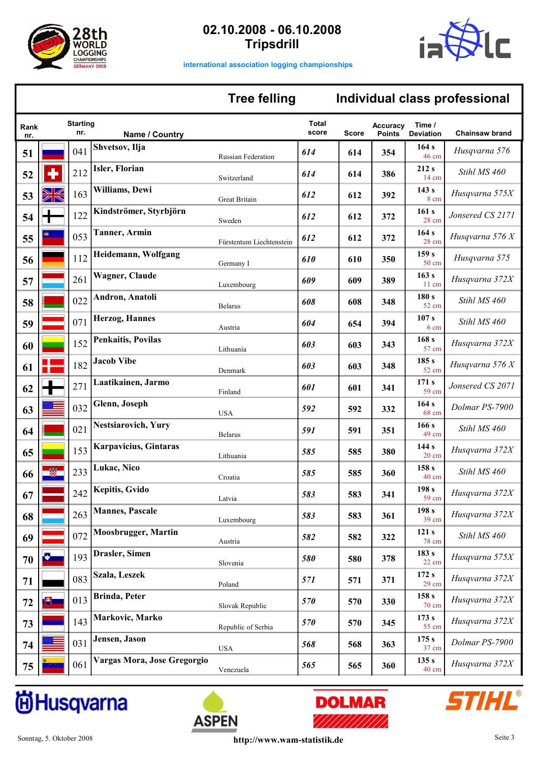



**Individual class professional**

**international association logging championships**

#### **Tree felling**

| Rank<br>nr. |           | <b>Starting</b><br>nr. | Name / Country               |                          | <b>Total</b><br>score | <b>Score</b> | <b>Accuracy</b><br><b>Points</b> | Time /<br><b>Deviation</b> | <b>Chainsaw brand</b> |
|-------------|-----------|------------------------|------------------------------|--------------------------|-----------------------|--------------|----------------------------------|----------------------------|-----------------------|
| 51          |           | 041                    | Shvetsov, Ilja               | Russian Federation       | 614                   | 614          | 354                              | 164s<br>46 cm              | Husqvarna 576         |
| 52          |           | 212                    | Isler, Florian               | Switzerland              | 614                   | 614          | 386                              | 212s<br>14 cm              | Stihl MS 460          |
| 53          | ZN        | 163                    | Williams, Dewi               | Great Britain            | 612                   | 612          | 392                              | 143s<br>8 cm               | Husqvarna 575X        |
| 54          | ┱         | 122                    | Kindströmer, Styrbjörn       | Sweden                   | 612                   | 612          | 372                              | 161 s<br>28 cm             | Jonsered CS 2171      |
| 55          |           | 053                    | <b>Tanner</b> , Armin        | Fürstentum Liechtenstein | 612                   | 612          | 372                              | 164 s<br>28 cm             | Husqvarna 576 X       |
| 56          |           | 112                    | Heidemann, Wolfgang          | Germany I                | 610                   | 610          | 350                              | 159s<br>50 cm              | Husqvarna 575         |
| 57          |           | 261                    | Wagner, Claude               | Luxembourg               | 609                   | 609          | 389                              | 163 s<br>$11 \text{ cm}$   | Husqvarna 372X        |
| 58          |           | 022                    | Andron, Anatoli              | <b>Belarus</b>           | 608                   | 608          | 348                              | 180s<br>52 cm              | Stihl MS 460          |
| 59          |           | 071                    | Herzog, Hannes               | Austria                  | 604                   | 654          | 394                              | 107 s<br>6 cm              | Stihl MS 460          |
| 60          |           | 152                    | <b>Penkaitis, Povilas</b>    | Lithuania                | 603                   | 603          | 343                              | 168 <sub>s</sub><br>57 cm  | Husqvarna 372X        |
| 61          |           | 182                    | <b>Jacob Vibe</b>            | Denmark                  | 603                   | 603          | 348                              | 185s<br>52 cm              | Husqvarna 576 X       |
| 62          |           | 271                    | Laatikainen, Jarmo           | Finland                  | 601                   | 601          | 341                              | 171 s<br>59 cm             | Jonsered CS 2071      |
| 63          |           | 032                    | Glenn, Joseph                | <b>USA</b>               | 592                   | 592          | 332                              | 164s<br>68 cm              | Dolmar PS-7900        |
| 64          |           | 021                    | <b>Nestsiarovich</b> , Yury  | Belarus                  | 591                   | 591          | 351                              | 166s<br>49 cm              | Stihl MS 460          |
| 65          |           | 153                    | <b>Karpavicius, Gintaras</b> | Lithuania                | 585                   | 585          | 380                              | 144s<br>$20 \text{ cm}$    | Husqvarna 372X        |
| 66          |           | 233                    | Lukac, Nico                  | Croatia                  | 585                   | 585          | 360                              | 158 <sub>s</sub><br>40 cm  | Stihl MS 460          |
| 67          |           | 242                    | <b>Kepitis, Gvido</b>        | Latvia                   | 583                   | 583          | 341                              | 198 <sub>s</sub><br>59 cm  | Husqvarna 372X        |
| 68          |           |                        | 263 Mannes, Pascale          | Luxembourg               | 583                   | 583          | 361                              | 198 <sub>s</sub><br>39 cm  | Husqvarna 372X        |
| 69          |           | 072                    | <b>Moosbrugger</b> , Martin  | Austria                  | 582                   | 582          | 322                              | 121 s<br>78 cm             | Stihl MS 460          |
| 70          | Ł.        | 193                    | Drasler, Simen               | Slovenia                 | 580                   | 580          | 378                              | 183 s<br>22 cm             | Husqvarna 575X        |
| 71          |           | 083                    | Szala, Leszek                | Poland                   | 571                   | 571          | 371                              | 172s<br>$29 \text{ cm}$    | Husqvarna 372X        |
| 72          | <u>्म</u> | 013                    | Brinda, Peter                | Slovak Republic          | 570                   | 570          | 330                              | 158s<br>70 cm              | Husqvarna 372X        |
| 73          |           | 143                    | Markovic, Marko              | Republic of Serbia       | 570                   | 570          | 345                              | 173 s<br>55 cm             | Husqvarna 372X        |
| 74          |           | 031                    | Jensen, Jason                | <b>USA</b>               | 568                   | 568          | 363                              | 175s<br>37 cm              | Dolmar PS-7900        |
| 75          |           | 061                    | Vargas Mora, Jose Gregorgio  | Venezuela                | 565                   | 565          | 360                              | 135 s<br>40 cm             | Husqvarna 372X        |

# **idHusqvarna**





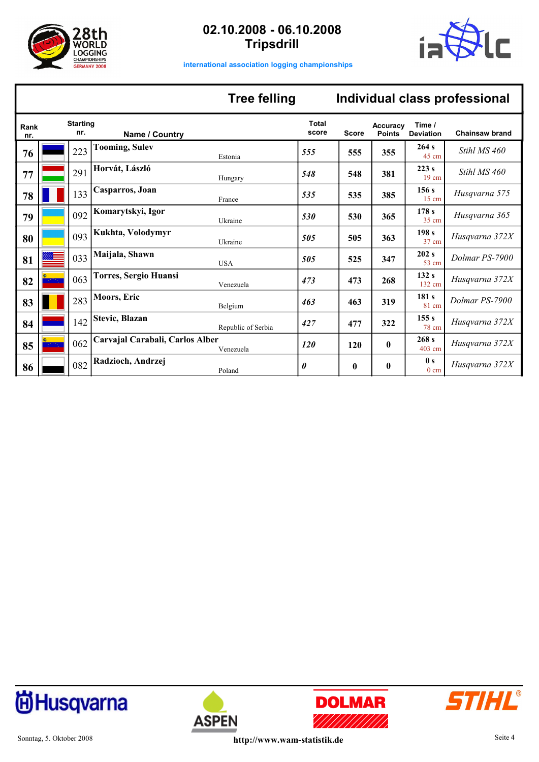



**international association logging championships**

## **Tree felling**

# **Individual class professional**

| Rank<br>nr. | <b>Starting</b><br>nr. | Name / Country                               | <b>Total</b><br>score | <b>Score</b> | <b>Accuracy</b><br><b>Points</b> | Time /<br><b>Deviation</b>   | <b>Chainsaw brand</b> |
|-------------|------------------------|----------------------------------------------|-----------------------|--------------|----------------------------------|------------------------------|-----------------------|
| 76          | 223                    | <b>Tooming, Sulev</b><br>Estonia             | 555                   | 555          | 355                              | 264 s<br>45 cm               | Stihl MS 460          |
| 77          | 291                    | Horvát, László<br>Hungary                    | 548                   | 548          | 381                              | 223s<br>$19 \text{ cm}$      | Stihl MS 460          |
| 78          | 133                    | Casparros, Joan<br>France                    | 535                   | 535          | 385                              | 156s<br>$15 \text{ cm}$      | Husqvarna 575         |
| 79          | 092                    | Komarytskyi, Igor<br>Ukraine                 | 530                   | 530          | 365                              | 178s<br>35 cm                | Husqvarna 365         |
| 80          | 093                    | Kukhta, Volodymyr<br>Ukraine                 | 505                   | 505          | 363                              | 198 <sub>s</sub><br>37 cm    | Husqvarna 372X        |
| 81          | 033                    | Maijala, Shawn<br><b>USA</b>                 | 505                   | 525          | 347                              | 202s<br>53 cm                | Dolmar PS-7900        |
| 82          | 063                    | <b>Torres, Sergio Huansi</b><br>Venezuela    | 473                   | 473          | 268                              | 132s<br>132 cm               | Husqvarna 372X        |
| 83          | 283                    | Moors, Eric<br>Belgium                       | 463                   | 463          | 319                              | 181 <sub>s</sub><br>81 cm    | Dolmar PS-7900        |
| 84          | 142                    | Stevic, Blazan<br>Republic of Serbia         | 427                   | 477          | 322                              | 155 s<br>78 cm               | Husqvarna 372X        |
| 85          | 062                    | Carvajal Carabali, Carlos Alber<br>Venezuela | 120                   | 120          | $\mathbf{0}$                     | 268s<br>403 cm               | Husqvarna 372X        |
| 86          | 082                    | Radzioch, Andrzej<br>Poland                  | 0                     | $\bf{0}$     | $\bf{0}$                         | $\bf{0}$ s<br>$0 \text{ cm}$ | Husqvarna 372X        |